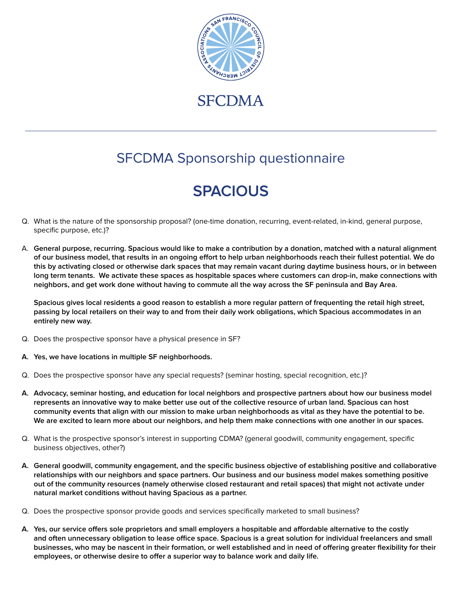

## SFCDMA Sponsorship questionnaire

## **SPACIOUS**

- Q. What is the nature of the sponsorship proposal? (one-time donation, recurring, event-related, in-kind, general purpose, specific purpose, etc.)?
- A. **General purpose, recurring. Spacious would like to make a contribution by a donation, matched with a natural alignment of our business model, that results in an ongoing effort to help urban neighborhoods reach their fullest potential. We do this by activating closed or otherwise dark spaces that may remain vacant during daytime business hours, or in between long term tenants. We activate these spaces as hospitable spaces where customers can drop-in, make connections with neighbors, and get work done without having to commute all the way across the SF peninsula and Bay Area.**

**Spacious gives local residents a good reason to establish a more regular pattern of frequenting the retail high street, passing by local retailers on their way to and from their daily work obligations, which Spacious accommodates in an entirely new way.** 

- Q. Does the prospective sponsor have a physical presence in SF?
- **A. Yes, we have locations in multiple SF neighborhoods.**
- Q. Does the prospective sponsor have any special requests? (seminar hosting, special recognition, etc.)?
- **A. Advocacy, seminar hosting, and education for local neighbors and prospective partners about how our business model represents an innovative way to make better use out of the collective resource of urban land. Spacious can host community events that align with our mission to make urban neighborhoods as vital as they have the potential to be. We are excited to learn more about our neighbors, and help them make connections with one another in our spaces.**
- Q. What is the prospective sponsor's interest in supporting CDMA? (general goodwill, community engagement, specific business objectives, other?)
- **A. General goodwill, community engagement, and the specific business objective of establishing positive and collaborative relationships with our neighbors and space partners. Our business and our business model makes something positive out of the community resources (namely otherwise closed restaurant and retail spaces) that might not activate under natural market conditions without having Spacious as a partner.**
- Q. Does the prospective sponsor provide goods and services specifically marketed to small business?
- **A. Yes, our service offers sole proprietors and small employers a hospitable and affordable alternative to the costly and often unnecessary obligation to lease office space. Spacious is a great solution for individual freelancers and small businesses, who may be nascent in their formation, or well established and in need of offering greater flexibility for their employees, or otherwise desire to offer a superior way to balance work and daily life.**